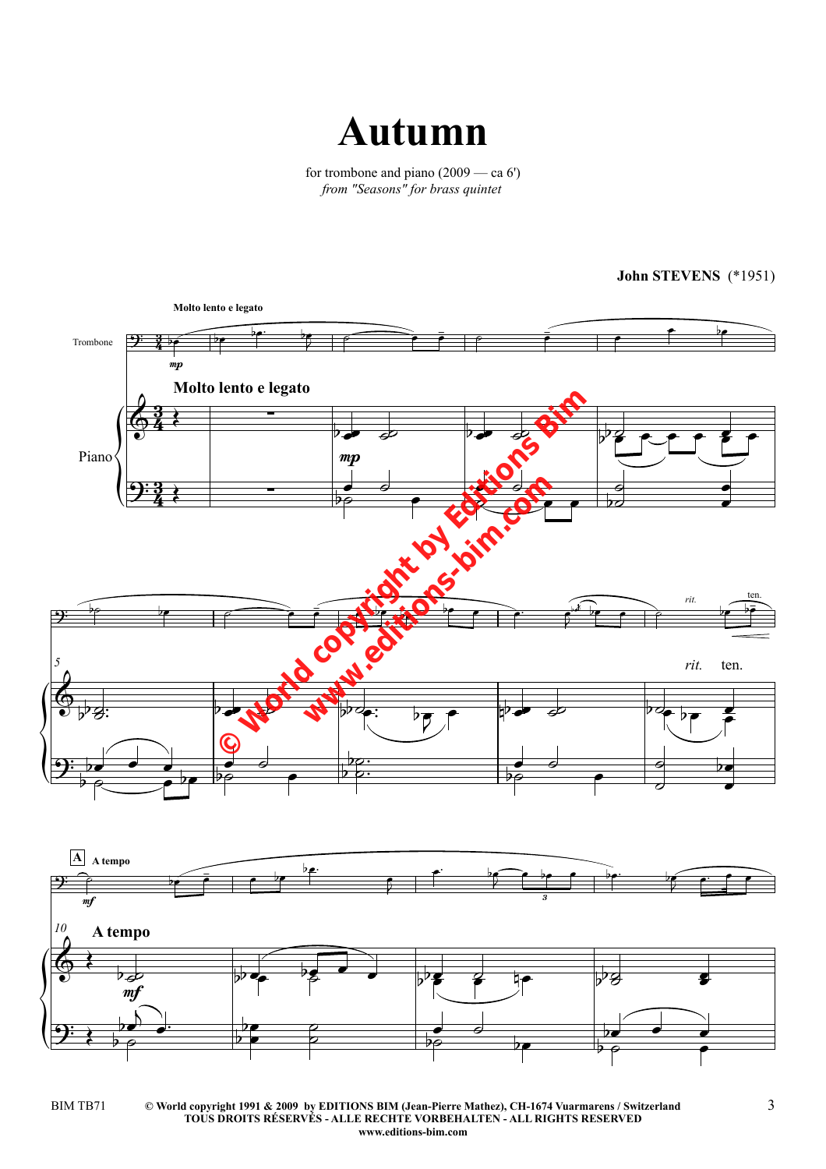

for trombone and piano (2009 — ca 6') *from "Seasons" for brass quintet*

 $\left\{ \begin{matrix} 1 \\ 1 \\ 2 \end{matrix} \right\}$  $\left\{ \begin{matrix} 1 \\ 1 \\ 2 \end{matrix} \right\}$  $\left\{ \begin{matrix} 1 \\ 1 \\ 2 \end{matrix} \right\}$ Trombone Piano mp **Molto lento e legato** mp **Molto lento e legato** *rit. 5 rit.* mf **A A tempo**  $m<sub>i</sub>$ **A tempo** *10* 3  $\frac{3}{4}$ <u>3</u>  $\frac{3}{4}$ <u>3</u>  $\frac{3}{4}$  $9:35$  be be by  $\boxed{\circ}$   $\frac{1}{2}$  $64$  $9:3$   $\longrightarrow$  $\overbrace{p}$  the contract of the contract of the contract of the contract of the contract of the contract of the contract of the contract of the contract of the contract of the contract of the contract of the contract of the  $\frac{1}{\epsilon}$  $\oint \psi g$  and  $\oint \psi g$  and  $\psi g$  and  $\psi g$  and  $\psi g$ ten.  $9\frac{1}{2}$   $\overline{\mathcal{P}}$ 3  $\frac{1}{2}$  is the property of  $\frac{1}{2}$  is the property.  $9:7$  $\begin{array}{ccccccc}\n\mathbf{b} & \mathbf{c} & \mathbf{c} & \mathbf{c} & \mathbf{c} & \mathbf{c} & \mathbf{c} & \mathbf{c} & \mathbf{c} & \mathbf{c} & \mathbf{c} & \mathbf{c} & \mathbf{c} & \mathbf{c} & \mathbf{c} & \mathbf{c} & \mathbf{c} & \mathbf{c} & \mathbf{c} & \mathbf{c} & \mathbf{c} & \mathbf{c} & \mathbf{c} & \mathbf{c} & \mathbf{c} & \mathbf{c} & \mathbf{c} & \mathbf{c} & \mathbf{c} & \mathbf{c} & \$  $\overline{b}$  $\frac{1}{2}$  be be be  $\frac{1}{\frac{1}{\sqrt{1-\frac{1}{\sqrt{1-\frac{1}{\sqrt{1-\frac{1}{\sqrt{1-\frac{1}{\sqrt{1-\frac{1}{\sqrt{1-\frac{1}{\sqrt{1-\frac{1}{\sqrt{1-\frac{1}{\sqrt{1-\frac{1}{\sqrt{1-\frac{1}{\sqrt{1-\frac{1}{\sqrt{1-\frac{1}{\sqrt{1-\frac{1}{\sqrt{1-\frac{1}{\sqrt{1-\frac{1}{\sqrt{1-\frac{1}{\sqrt{1-\frac{1}{\sqrt{1-\frac{1}{\sqrt{1-\frac{1}{\sqrt{1-\frac{1}{\sqrt{1-\frac{1}{\sqrt{1-\frac{1}{\sqrt{1-\frac{1}{\sqrt{$  $\frac{1}{2}$   $\frac{1}{20}$  $\frac{\bullet}{\varphi}$  $\frac{1}{\sigma}$  $\overline{\bullet}$  X  $\frac{1}{\sigma}$  $\frac{9}{2}$  $\frac{1}{\sigma}$  $\frac{3}{20}$  $\frac{1}{\bullet}$  $\epsilon$   $\epsilon$  $\overrightarrow{P}$  and  $\overrightarrow{P}$  and  $\overrightarrow{P}$  and  $\overrightarrow{P}$  and  $\overrightarrow{P}$  and  $\overrightarrow{P}$  and  $\overrightarrow{P}$  and  $\overrightarrow{P}$  and  $\overrightarrow{P}$  and  $\overrightarrow{P}$  and  $\overrightarrow{P}$  and  $\overrightarrow{P}$  and  $\overrightarrow{P}$  and  $\overrightarrow{P}$  and  $\overrightarrow{P}$  and  $\overrightarrow{P}$  and  $\overrightarrow{P}$  and  $\stackrel{\leftarrow}{\bullet}$ ₹  $\frac{1}{2}$  $\overline{PS}$  $\frac{1}{\sqrt{2}}$  $\frac{1}{\sqrt{2}}$  $\overline{p}$  and  $\overline{p}$  and  $\overline{p}$  and  $\overline{p}$  and  $\overline{p}$ e<br>P  $\overrightarrow{ }$  $\frac{1}{\rho}$  $\frac{1}{\sqrt{1-\frac{1}{2}}}\frac{1}{\sqrt{1-\frac{1}{2}}}\frac{1}{\sqrt{1-\frac{1}{2}}}\frac{1}{\sqrt{1-\frac{1}{2}}}\frac{1}{\sqrt{1-\frac{1}{2}}}\frac{1}{\sqrt{1-\frac{1}{2}}}\frac{1}{\sqrt{1-\frac{1}{2}}}\frac{1}{\sqrt{1-\frac{1}{2}}}\frac{1}{\sqrt{1-\frac{1}{2}}}\frac{1}{\sqrt{1-\frac{1}{2}}}\frac{1}{\sqrt{1-\frac{1}{2}}}\frac{1}{\sqrt{1-\frac{1}{2}}}\frac{1}{\sqrt{1-\frac{1}{2}}}\frac{1}{\sqrt{1-\frac{$  $\frac{1}{\sqrt{1-\frac{1}{\sqrt{1-\frac{1}{\sqrt{1-\frac{1}{\sqrt{1-\frac{1}{\sqrt{1-\frac{1}{\sqrt{1-\frac{1}{\sqrt{1-\frac{1}{\sqrt{1-\frac{1}{\sqrt{1-\frac{1}{\sqrt{1-\frac{1}{\sqrt{1-\frac{1}{\sqrt{1-\frac{1}{\sqrt{1-\frac{1}{\sqrt{1-\frac{1}{\sqrt{1-\frac{1}{\sqrt{1-\frac{1}{\sqrt{1-\frac{1}{\sqrt{1-\frac{1}{\sqrt{1-\frac{1}{\sqrt{1-\frac{1}{\sqrt{1-\frac{1}{\sqrt{1-\frac{1}{\sqrt{1-\frac{1}{\sqrt{1-\frac{1$  $\frac{1}{\sigma}$  $\overline{\bullet}$ P  $\frac{2}{3}$  $\frac{1}{2}$  $\frac{28}{5}$  $\frac{1}{\sqrt{2}}$  $\frac{\bullet}{\circ}$  $\frac{1}{\sigma}$  $\overline{\phantom{0}}$  $\overline{\mathcal{L}}$  $\frac{1}{\mathcal{Q}}$  $\overline{\bullet}$  $\overline{\phantom{a}}$  $\frac{b}{c}$   $\frac{b}{c}$   $\frac{b}{c}$   $\frac{b}{c}$   $\frac{c}{c}$   $\frac{c}{c}$   $\frac{c}{c}$   $\frac{c}{c}$ ₹  $\overrightarrow{e}$  be  $\int$  be e being being  $\sqrt{1-\frac{1}{2}}$  $\frac{2}{5}$  becomes properly  $\frac{1}{2}$  and  $\frac{1}{2}$  if  $\frac{1}{2}$  if  $\frac{1}{2}$  if  $\frac{1}{2}$  if  $\frac{1}{2}$  if  $\frac{1}{2}$  if  $\frac{1}{2}$  if  $\frac{1}{2}$  if  $\frac{1}{2}$  if  $\frac{1}{2}$  if  $\frac{1}{2}$  if  $\frac{1}{2}$  if  $\frac{1}{2}$  if  $\frac{1}{2}$  if  $\frac{1}{2}$  if  $\frac{1}{2}$  if  $\overline{\bullet}$  $\begin{array}{c} \begin{array}{c} \bullet \\ \bullet \end{array} \end{array}$  $\overline{\phantom{a}}$  $\tilde{\mathbf{N}}$  $\frac{1}{2}$  be  $\bullet$  $\flat$  $\frac{b}{b}$   $\frac{c}{c}$  $\frac{2}{5}$  $\frac{1}{\bullet}$  $\frac{1}{\beta}$  $\frac{1}{\sigma}$  $\overline{p}$  $\overrightarrow{ }$  $\frac{1}{\theta}$  $\overrightarrow{\cdot}$  $\frac{1}{\rho}$ lento e legato **when the community of the community of the community of the community of the community of the community of the community of the community of the community of the community of the community of the community of the communit** 

**John STEVENS** (\*1951)

**<sup>©</sup> World copyright 1991 & 2009 by EDITIONS BIM (Jean-Pierre Mathez), CH-1674 Vuarmarens / Switzerland TOUS DROITS RÉSERVÉS - ALLE RECHTE VORBEHALTEN - ALL RIGHTS RESERVED www.editions-bim.com** BIM TB71  $\hbox{°}$   $\hbox{°}$  World copyright 1991 & 2009 by EDITIONS BIM (Jean-Pierre Mathez), CH-1674 Vuarmarens / Switzerland  $\hbox{~}$   $\hbox{~}$   $\hbox{~}$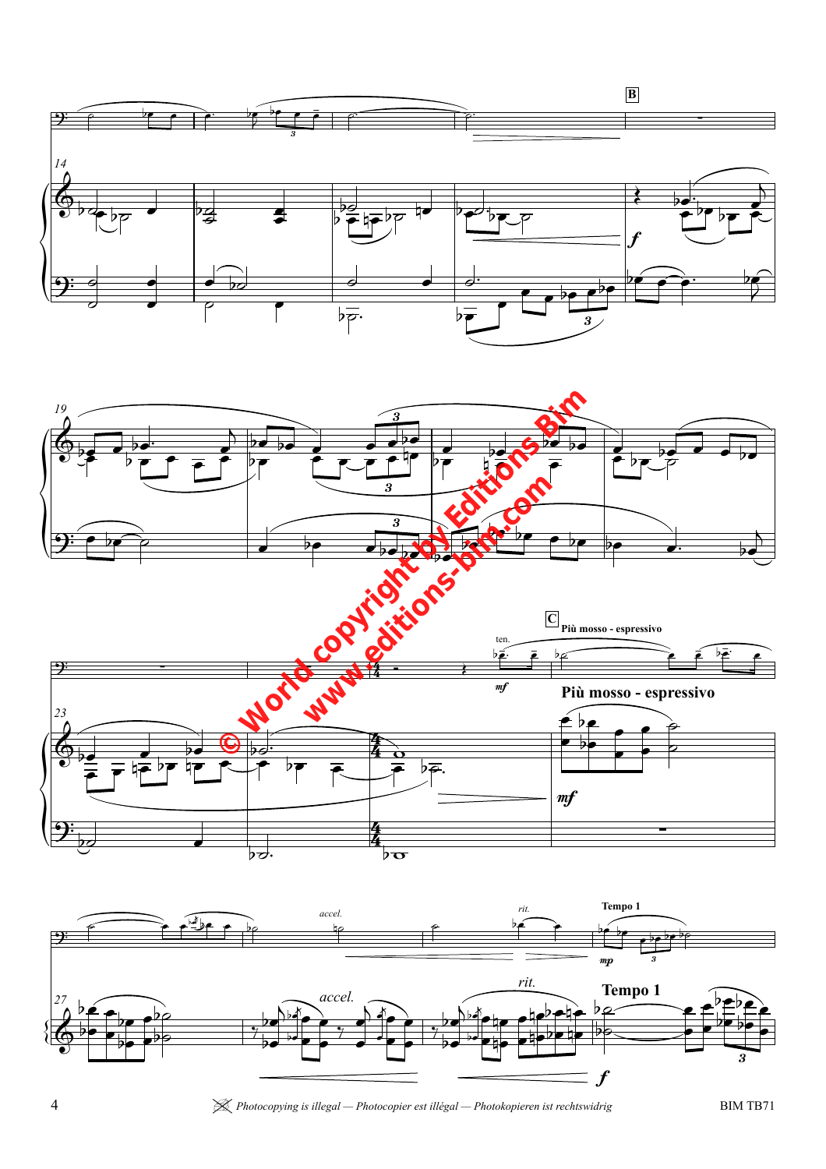







4 | *Photocopying is illegal — Photocopier est illégal — Photokopieren ist rechtswidrig* BIM TB71